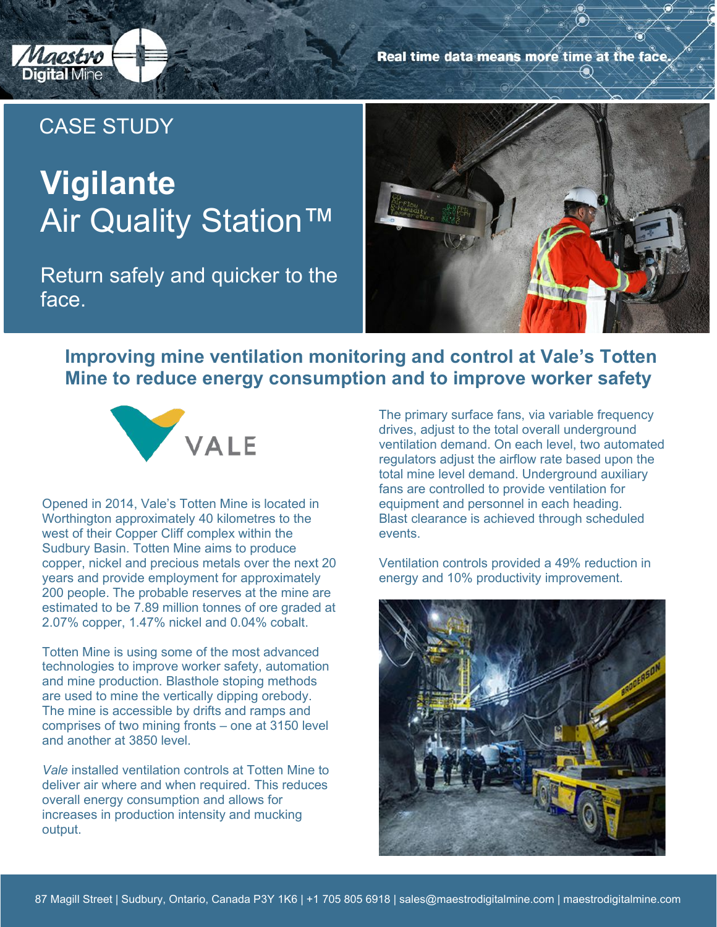

Real time data means more time at the face.

## CASE STUDY

# **Vigilante Air Quality Station™**

Return safely and quicker to the face.



### **Improving mine ventilation monitoring and control at Vale's Totten Mine to reduce energy consumption and to improve worker safety**



Opened in 2014, Vale's Totten Mine is located in Worthington approximately 40 kilometres to the west of their Copper Cliff complex within the Sudbury Basin. Totten Mine aims to produce copper, nickel and precious metals over the next 20 years and provide employment for approximately 200 people. The probable reserves at the mine are estimated to be 7.89 million tonnes of ore graded at 2.07% copper, 1.47% nickel and 0.04% cobalt.

Totten Mine is using some of the most advanced technologies to improve worker safety, automation and mine production. Blasthole stoping methods are used to mine the vertically dipping orebody. The mine is accessible by drifts and ramps and comprises of two mining fronts – one at 3150 level and another at 3850 level.

*Vale* installed ventilation controls at Totten Mine to deliver air where and when required. This reduces overall energy consumption and allows for increases in production intensity and mucking output.

The primary surface fans, via variable frequency drives, adjust to the total overall underground ventilation demand. On each level, two automated regulators adjust the airflow rate based upon the total mine level demand. Underground auxiliary fans are controlled to provide ventilation for equipment and personnel in each heading. Blast clearance is achieved through scheduled events.

Ventilation controls provided a 49% reduction in energy and 10% productivity improvement.

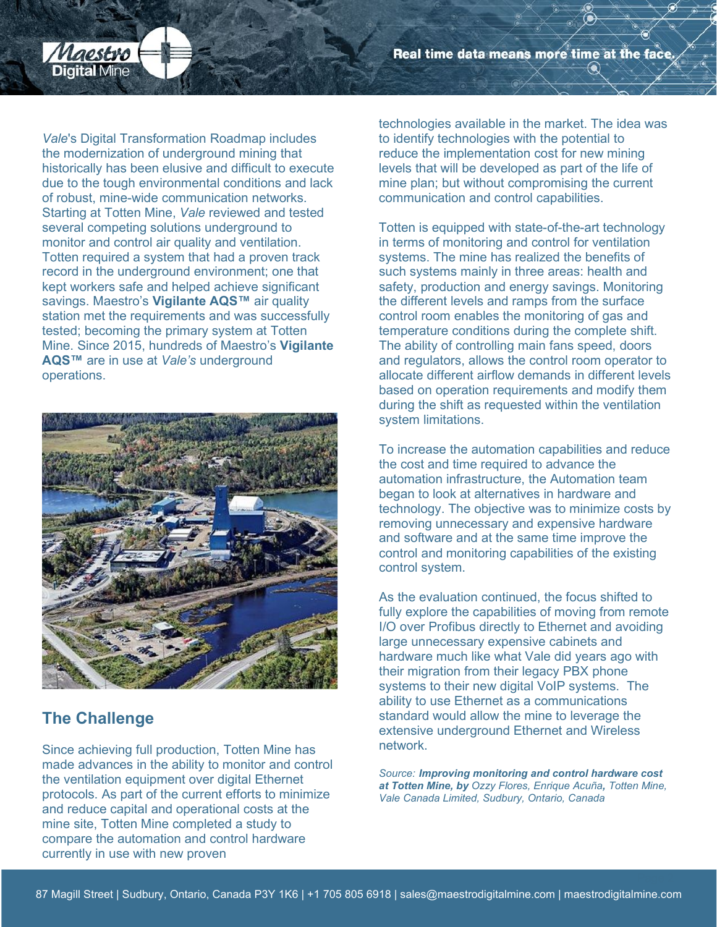Real time data means more time at the face.



*Vale*'s Digital Transformation Roadmap includes the modernization of underground mining that historically has been elusive and difficult to execute due to the tough environmental conditions and lack of robust, mine-wide communication networks. Starting at Totten Mine, *Vale* reviewed and tested several competing solutions underground to monitor and control air quality and ventilation. Totten required a system that had a proven track record in the underground environment; one that kept workers safe and helped achieve significant savings. Maestro's **Vigilante AQS™** air quality station met the requirements and was successfully tested; becoming the primary system at Totten Mine. Since 2015, hundreds of Maestro's **Vigilante AQS™** are in use at *Vale's* underground operations.



#### **The Challenge**

Since achieving full production, Totten Mine has made advances in the ability to monitor and control the ventilation equipment over digital Ethernet protocols. As part of the current efforts to minimize and reduce capital and operational costs at the mine site, Totten Mine completed a study to compare the automation and control hardware currently in use with new proven

technologies available in the market. The idea was to identify technologies with the potential to reduce the implementation cost for new mining levels that will be developed as part of the life of mine plan; but without compromising the current communication and control capabilities.

Totten is equipped with state-of-the-art technology in terms of monitoring and control for ventilation systems. The mine has realized the benefits of such systems mainly in three areas: health and safety, production and energy savings. Monitoring the different levels and ramps from the surface control room enables the monitoring of gas and temperature conditions during the complete shift. The ability of controlling main fans speed, doors and regulators, allows the control room operator to allocate different airflow demands in different levels based on operation requirements and modify them during the shift as requested within the ventilation system limitations.

To increase the automation capabilities and reduce the cost and time required to advance the automation infrastructure, the Automation team began to look at alternatives in hardware and technology. The objective was to minimize costs by removing unnecessary and expensive hardware and software and at the same time improve the control and monitoring capabilities of the existing control system.

As the evaluation continued, the focus shifted to fully explore the capabilities of moving from remote I/O over Profibus directly to Ethernet and avoiding large unnecessary expensive cabinets and hardware much like what Vale did years ago with their migration from their legacy PBX phone systems to their new digital VoIP systems. The ability to use Ethernet as a communications standard would allow the mine to leverage the extensive underground Ethernet and Wireless network.

*Source: Improving monitoring and control hardware cost at Totten Mine, by Ozzy Flores, Enrique Acuña, Totten Mine, Vale Canada Limited, Sudbury, Ontario, Canada*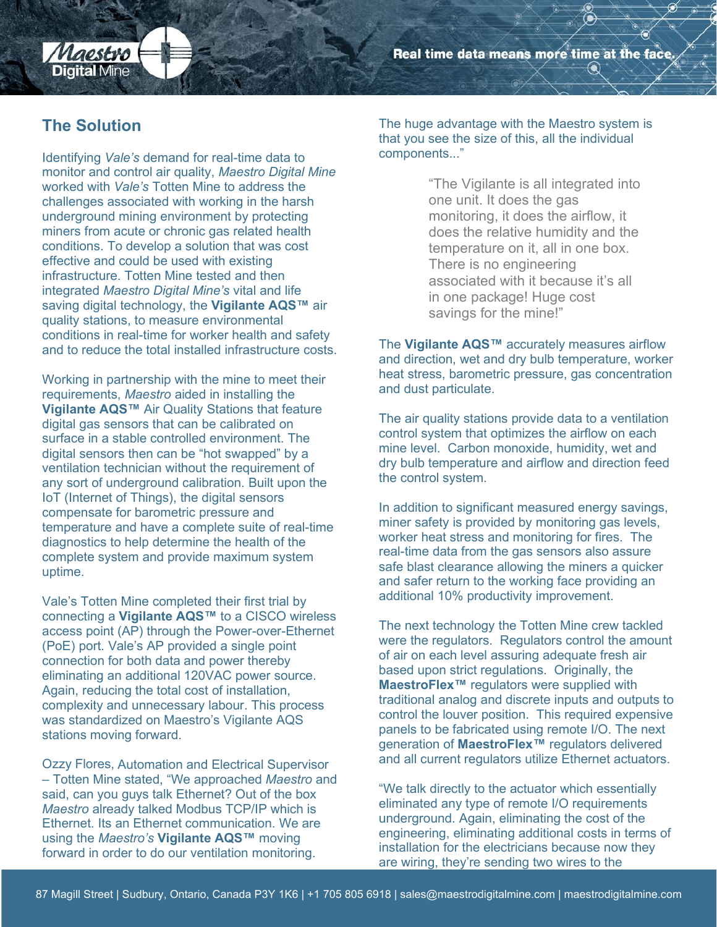Real time data means more time at the face.

#### **The Solution**

Laestro

**Digital Mine** 

Identifying *Vale's* demand for real-time data to monitor and control air quality, *Maestro Digital Mine* worked with *Vale's* Totten Mine to address the challenges associated with working in the harsh underground mining environment by protecting miners from acute or chronic gas related health conditions. To develop a solution that was cost effective and could be used with existing infrastructure. Totten Mine tested and then integrated *Maestro Digital Mine's* vital and life saving digital technology, the **Vigilante AQS™** air quality stations, to measure environmental conditions in real-time for worker health and safety and to reduce the total installed infrastructure costs.

Working in partnership with the mine to meet their requirements, *Maestro* aided in installing the **Vigilante AQS™** Air Quality Stations that feature digital gas sensors that can be calibrated on surface in a stable controlled environment. The digital sensors then can be "hot swapped" by a ventilation technician without the requirement of any sort of underground calibration. Built upon the IoT (Internet of Things), the digital sensors compensate for barometric pressure and temperature and have a complete suite of real-time diagnostics to help determine the health of the complete system and provide maximum system uptime.

Vale's Totten Mine completed their first trial by connecting a **Vigilante AQS™** to a CISCO wireless access point (AP) through the Power-over-Ethernet (PoE) port. Vale's AP provided a single point connection for both data and power thereby eliminating an additional 120VAC power source. Again, reducing the total cost of installation, complexity and unnecessary labour. This process was standardized on Maestro's Vigilante AQS stations moving forward.

Ozzy Flores, Automation and Electrical Supervisor – Totten Mine stated, "We approached *Maestro* and said, can you guys talk Ethernet? Out of the box *Maestro* already talked Modbus TCP/IP which is Ethernet. Its an Ethernet communication. We are using the *Maestro's* **Vigilante AQS™** moving forward in order to do our ventilation monitoring.

The huge advantage with the Maestro system is that you see the size of this, all the individual components..."

> "The Vigilante is all integrated into one unit. It does the gas monitoring, it does the airflow, it does the relative humidity and the temperature on it, all in one box. There is no engineering associated with it because it's all in one package! Huge cost savings for the mine!"

The **Vigilante AQS™** accurately measures airflow and direction, wet and dry bulb temperature, worker heat stress, barometric pressure, gas concentration and dust particulate.

The air quality stations provide data to a ventilation control system that optimizes the airflow on each mine level. Carbon monoxide, humidity, wet and dry bulb temperature and airflow and direction feed the control system.

In addition to significant measured energy savings, miner safety is provided by monitoring gas levels, worker heat stress and monitoring for fires. The real-time data from the gas sensors also assure safe blast clearance allowing the miners a quicker and safer return to the working face providing an additional 10% productivity improvement.

The next technology the Totten Mine crew tackled were the regulators. Regulators control the amount of air on each level assuring adequate fresh air based upon strict regulations. Originally, the **MaestroFlex™** regulators were supplied with traditional analog and discrete inputs and outputs to control the louver position. This required expensive panels to be fabricated using remote I/O. The next generation of **MaestroFlex™** regulators delivered and all current regulators utilize Ethernet actuators.

"We talk directly to the actuator which essentially eliminated any type of remote I/O requirements underground. Again, eliminating the cost of the engineering, eliminating additional costs in terms of installation for the electricians because now they are wiring, they're sending two wires to the